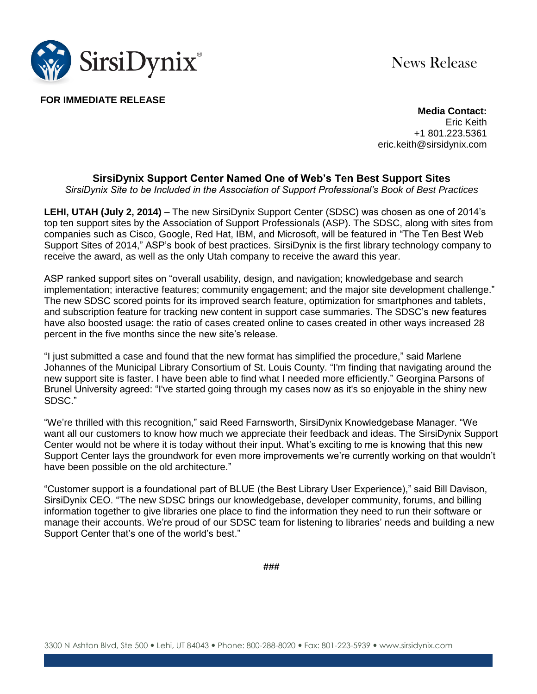

News Release

**FOR IMMEDIATE RELEASE**

**Media Contact:** Eric Keith +1 801.223.5361 eric.keith@sirsidynix.com

## **SirsiDynix Support Center Named One of Web's Ten Best Support Sites**

*SirsiDynix Site to be Included in the Association of Support Professional's Book of Best Practices*

**LEHI, UTAH (July 2, 2014)** – The new SirsiDynix Support Center (SDSC) was chosen as one of 2014's top ten support sites by the Association of Support Professionals (ASP). The SDSC, along with sites from companies such as Cisco, Google, Red Hat, IBM, and Microsoft, will be featured in "The Ten Best Web Support Sites of 2014," ASP's book of best practices. SirsiDynix is the first library technology company to receive the award, as well as the only Utah company to receive the award this year.

ASP ranked support sites on "overall usability, design, and navigation; knowledgebase and search implementation; interactive features; community engagement; and the major site development challenge." The new SDSC scored points for its improved search feature, optimization for smartphones and tablets, and subscription feature for tracking new content in support case summaries. The SDSC's new features have also boosted usage: the ratio of cases created online to cases created in other ways increased 28 percent in the five months since the new site's release.

"I just submitted a case and found that the new format has simplified the procedure," said Marlene Johannes of the Municipal Library Consortium of St. Louis County. "I'm finding that navigating around the new support site is faster. I have been able to find what I needed more efficiently." Georgina Parsons of Brunel University agreed: "I've started going through my cases now as it's so enjoyable in the shiny new SDSC."

"We're thrilled with this recognition," said Reed Farnsworth, SirsiDynix Knowledgebase Manager. "We want all our customers to know how much we appreciate their feedback and ideas. The SirsiDynix Support Center would not be where it is today without their input. What's exciting to me is knowing that this new Support Center lays the groundwork for even more improvements we're currently working on that wouldn't have been possible on the old architecture."

"Customer support is a foundational part of BLUE (the Best Library User Experience)," said Bill Davison, SirsiDynix CEO. "The new SDSC brings our knowledgebase, developer community, forums, and billing information together to give libraries one place to find the information they need to run their software or manage their accounts. We're proud of our SDSC team for listening to libraries' needs and building a new Support Center that's one of the world's best."

**###**